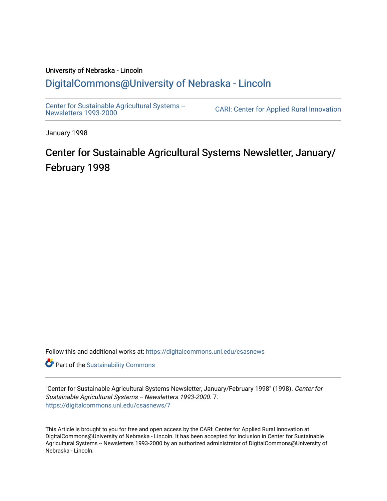#### University of Nebraska - Lincoln [DigitalCommons@University of Nebraska - Lincoln](https://digitalcommons.unl.edu/)

[Center for Sustainable Agricultural Systems --](https://digitalcommons.unl.edu/csasnews)<br>Newsletters 1993-2000

CARI: Center for Applied Rural Innovation

January 1998

## Center for Sustainable Agricultural Systems Newsletter, January/ February 1998

Follow this and additional works at: [https://digitalcommons.unl.edu/csasnews](https://digitalcommons.unl.edu/csasnews?utm_source=digitalcommons.unl.edu%2Fcsasnews%2F7&utm_medium=PDF&utm_campaign=PDFCoverPages) 

**Part of the [Sustainability Commons](http://network.bepress.com/hgg/discipline/1031?utm_source=digitalcommons.unl.edu%2Fcsasnews%2F7&utm_medium=PDF&utm_campaign=PDFCoverPages)** 

"Center for Sustainable Agricultural Systems Newsletter, January/February 1998" (1998). Center for Sustainable Agricultural Systems -- Newsletters 1993-2000. 7. [https://digitalcommons.unl.edu/csasnews/7](https://digitalcommons.unl.edu/csasnews/7?utm_source=digitalcommons.unl.edu%2Fcsasnews%2F7&utm_medium=PDF&utm_campaign=PDFCoverPages) 

This Article is brought to you for free and open access by the CARI: Center for Applied Rural Innovation at DigitalCommons@University of Nebraska - Lincoln. It has been accepted for inclusion in Center for Sustainable Agricultural Systems -- Newsletters 1993-2000 by an authorized administrator of DigitalCommons@University of Nebraska - Lincoln.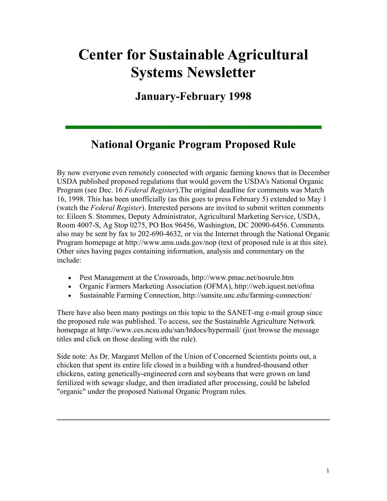# **Center for Sustainable Agricultural Systems Newsletter**

**January-February 1998** 

## **National Organic Program Proposed Rule**

By now everyone even remotely connected with organic farming knows that in December USDA published proposed regulations that would govern the USDA's National Organic Program (see Dec. 16 *Federal Register*).The original deadline for comments was March 16, 1998. This has been unofficially (as this goes to press February 5) extended to May 1 (watch the *Federal Register*). Interested persons are invited to submit written comments to: Eileen S. Stommes, Deputy Administrator, Agricultural Marketing Service, USDA, Room 4007-S, Ag Stop 0275, PO Box 96456, Washington, DC 20090-6456. Comments also may be sent by fax to 202-690-4632, or via the Internet through the National Organic Program homepage at http://www.ams.usda.gov/nop (text of proposed rule is at this site). Other sites having pages containing information, analysis and commentary on the include:

- Pest Management at the Crossroads, http://www.pmac.net/nosrule.htm
- Organic Farmers Marketing Association (OFMA), http://web.iquest.net/ofma
- Sustainable Farming Connection, http://sunsite.unc.edu/farming-connection/

There have also been many postings on this topic to the SANET-mg e-mail group since the proposed rule was published. To access, see the Sustainable Agriculture Network homepage at http://www.ces.ncsu.edu/san/htdocs/hypermail/ (just browse the message titles and click on those dealing with the rule).

Side note: As Dr. Margaret Mellon of the Union of Concerned Scientists points out, a chicken that spent its entire life closed in a building with a hundred-thousand other chickens, eating genetically-engineered corn and soybeans that were grown on land fertilized with sewage sludge, and then irradiated after processing, could be labeled "organic" under the proposed National Organic Program rules.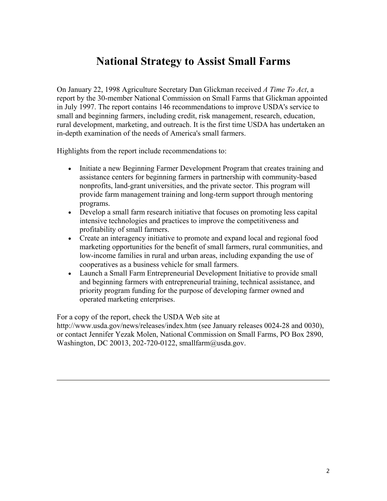#### **National Strategy to Assist Small Farms**

On January 22, 1998 Agriculture Secretary Dan Glickman received *A Time To Act*, a report by the 30-member National Commission on Small Farms that Glickman appointed in July 1997. The report contains 146 recommendations to improve USDA's service to small and beginning farmers, including credit, risk management, research, education, rural development, marketing, and outreach. It is the first time USDA has undertaken an in-depth examination of the needs of America's small farmers.

Highlights from the report include recommendations to:

- Initiate a new Beginning Farmer Development Program that creates training and assistance centers for beginning farmers in partnership with community-based nonprofits, land-grant universities, and the private sector. This program will provide farm management training and long-term support through mentoring programs.
- Develop a small farm research initiative that focuses on promoting less capital intensive technologies and practices to improve the competitiveness and profitability of small farmers.
- Create an interagency initiative to promote and expand local and regional food marketing opportunities for the benefit of small farmers, rural communities, and low-income families in rural and urban areas, including expanding the use of cooperatives as a business vehicle for small farmers.
- Launch a Small Farm Entrepreneurial Development Initiative to provide small and beginning farmers with entrepreneurial training, technical assistance, and priority program funding for the purpose of developing farmer owned and operated marketing enterprises.

For a copy of the report, check the USDA Web site at

http://www.usda.gov/news/releases/index.htm (see January releases 0024-28 and 0030), or contact Jennifer Yezak Molen, National Commission on Small Farms, PO Box 2890, Washington, DC 20013, 202-720-0122, smallfarm@usda.gov.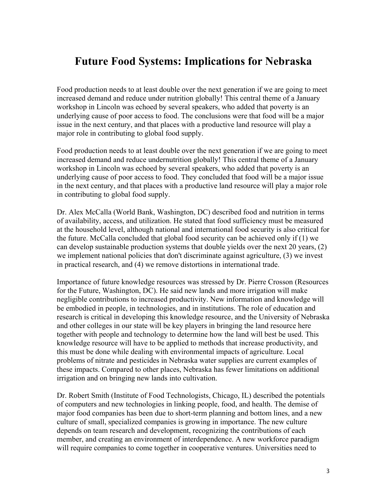#### **Future Food Systems: Implications for Nebraska**

Food production needs to at least double over the next generation if we are going to meet increased demand and reduce under nutrition globally! This central theme of a January workshop in Lincoln was echoed by several speakers, who added that poverty is an underlying cause of poor access to food. The conclusions were that food will be a major issue in the next century, and that places with a productive land resource will play a major role in contributing to global food supply.

Food production needs to at least double over the next generation if we are going to meet increased demand and reduce undernutrition globally! This central theme of a January workshop in Lincoln was echoed by several speakers, who added that poverty is an underlying cause of poor access to food. They concluded that food will be a major issue in the next century, and that places with a productive land resource will play a major role in contributing to global food supply.

Dr. Alex McCalla (World Bank, Washington, DC) described food and nutrition in terms of availability, access, and utilization. He stated that food sufficiency must be measured at the household level, although national and international food security is also critical for the future. McCalla concluded that global food security can be achieved only if (1) we can develop sustainable production systems that double yields over the next 20 years, (2) we implement national policies that don't discriminate against agriculture, (3) we invest in practical research, and (4) we remove distortions in international trade.

Importance of future knowledge resources was stressed by Dr. Pierre Crosson (Resources for the Future, Washington, DC). He said new lands and more irrigation will make negligible contributions to increased productivity. New information and knowledge will be embodied in people, in technologies, and in institutions. The role of education and research is critical in developing this knowledge resource, and the University of Nebraska and other colleges in our state will be key players in bringing the land resource here together with people and technology to determine how the land will best be used. This knowledge resource will have to be applied to methods that increase productivity, and this must be done while dealing with environmental impacts of agriculture. Local problems of nitrate and pesticides in Nebraska water supplies are current examples of these impacts. Compared to other places, Nebraska has fewer limitations on additional irrigation and on bringing new lands into cultivation.

Dr. Robert Smith (Institute of Food Technologists, Chicago, IL) described the potentials of computers and new technologies in linking people, food, and health. The demise of major food companies has been due to short-term planning and bottom lines, and a new culture of small, specialized companies is growing in importance. The new culture depends on team research and development, recognizing the contributions of each member, and creating an environment of interdependence. A new workforce paradigm will require companies to come together in cooperative ventures. Universities need to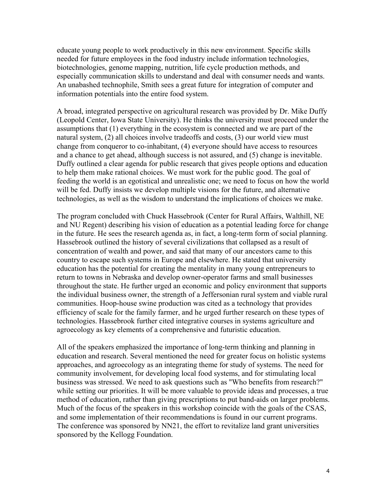educate young people to work productively in this new environment. Specific skills needed for future employees in the food industry include information technologies, biotechnologies, genome mapping, nutrition, life cycle production methods, and especially communication skills to understand and deal with consumer needs and wants. An unabashed technophile, Smith sees a great future for integration of computer and information potentials into the entire food system.

A broad, integrated perspective on agricultural research was provided by Dr. Mike Duffy (Leopold Center, Iowa State University). He thinks the university must proceed under the assumptions that (1) everything in the ecosystem is connected and we are part of the natural system, (2) all choices involve tradeoffs and costs, (3) our world view must change from conqueror to co-inhabitant, (4) everyone should have access to resources and a chance to get ahead, although success is not assured, and (5) change is inevitable. Duffy outlined a clear agenda for public research that gives people options and education to help them make rational choices. We must work for the public good. The goal of feeding the world is an egotistical and unrealistic one; we need to focus on how the world will be fed. Duffy insists we develop multiple visions for the future, and alternative technologies, as well as the wisdom to understand the implications of choices we make.

The program concluded with Chuck Hassebrook (Center for Rural Affairs, Walthill, NE and NU Regent) describing his vision of education as a potential leading force for change in the future. He sees the research agenda as, in fact, a long-term form of social planning. Hassebrook outlined the history of several civilizations that collapsed as a result of concentration of wealth and power, and said that many of our ancestors came to this country to escape such systems in Europe and elsewhere. He stated that university education has the potential for creating the mentality in many young entrepreneurs to return to towns in Nebraska and develop owner-operator farms and small businesses throughout the state. He further urged an economic and policy environment that supports the individual business owner, the strength of a Jeffersonian rural system and viable rural communities. Hoop-house swine production was cited as a technology that provides efficiency of scale for the family farmer, and he urged further research on these types of technologies. Hassebrook further cited integrative courses in systems agriculture and agroecology as key elements of a comprehensive and futuristic education.

All of the speakers emphasized the importance of long-term thinking and planning in education and research. Several mentioned the need for greater focus on holistic systems approaches, and agroecology as an integrating theme for study of systems. The need for community involvement, for developing local food systems, and for stimulating local business was stressed. We need to ask questions such as "Who benefits from research?" while setting our priorities. It will be more valuable to provide ideas and processes, a true method of education, rather than giving prescriptions to put band-aids on larger problems. Much of the focus of the speakers in this workshop coincide with the goals of the CSAS, and some implementation of their recommendations is found in our current programs. The conference was sponsored by NN21, the effort to revitalize land grant universities sponsored by the Kellogg Foundation.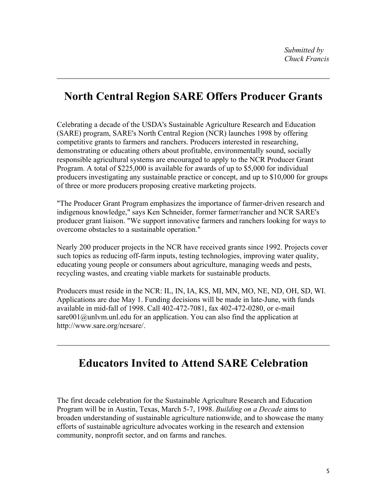### **North Central Region SARE Offers Producer Grants**

Celebrating a decade of the USDA's Sustainable Agriculture Research and Education (SARE) program, SARE's North Central Region (NCR) launches 1998 by offering competitive grants to farmers and ranchers. Producers interested in researching, demonstrating or educating others about profitable, environmentally sound, socially responsible agricultural systems are encouraged to apply to the NCR Producer Grant Program. A total of \$225,000 is available for awards of up to \$5,000 for individual producers investigating any sustainable practice or concept, and up to \$10,000 for groups of three or more producers proposing creative marketing projects.

"The Producer Grant Program emphasizes the importance of farmer-driven research and indigenous knowledge," says Ken Schneider, former farmer/rancher and NCR SARE's producer grant liaison. "We support innovative farmers and ranchers looking for ways to overcome obstacles to a sustainable operation."

Nearly 200 producer projects in the NCR have received grants since 1992. Projects cover such topics as reducing off-farm inputs, testing technologies, improving water quality, educating young people or consumers about agriculture, managing weeds and pests, recycling wastes, and creating viable markets for sustainable products.

Producers must reside in the NCR: IL, IN, IA, KS, MI, MN, MO, NE, ND, OH, SD, WI. Applications are due May 1. Funding decisions will be made in late-June, with funds available in mid-fall of 1998. Call 402-472-7081, fax 402-472-0280, or e-mail sare001@unlym.unl.edu for an application. You can also find the application at http://www.sare.org/ncrsare/.

## **Educators Invited to Attend SARE Celebration**

The first decade celebration for the Sustainable Agriculture Research and Education Program will be in Austin, Texas, March 5-7, 1998. *Building on a Decade* aims to broaden understanding of sustainable agriculture nationwide, and to showcase the many efforts of sustainable agriculture advocates working in the research and extension community, nonprofit sector, and on farms and ranches.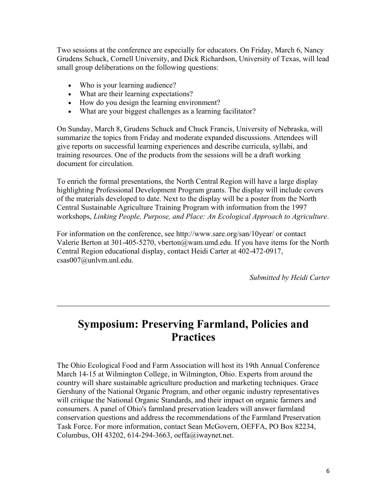Two sessions at the conference are especially for educators. On Friday, March 6, Nancy Grudens Schuck, Cornell University, and Dick Richardson, University of Texas, will lead small group deliberations on the following questions:

- Who is your learning audience?
- What are their learning expectations?
- How do you design the learning environment?
- What are your biggest challenges as a learning facilitator?

On Sunday, March 8, Grudens Schuck and Chuck Francis, University of Nebraska, will summarize the topics from Friday and moderate expanded discussions. Attendees will give reports on successful learning experiences and describe curricula, syllabi, and training resources. One of the products from the sessions will be a draft working document for circulation.

To enrich the formal presentations, the North Central Region will have a large display highlighting Professional Development Program grants. The display will include covers of the materials developed to date. Next to the display will be a poster from the North Central Sustainable Agriculture Training Program with information from the 1997 workshops, *Linking People, Purpose, and Place: An Ecological Approach to Agriculture*.

For information on the conference, see http://www.sare.org/san/10year/ or contact Valerie Berton at 301-405-5270, vberton@wam.umd.edu. If you have items for the North Central Region educational display, contact Heidi Carter at 402-472-0917, csas007@unlvm.unl.edu.

*Submitted by Heidi Carter*

#### **Symposium: Preserving Farmland, Policies and Practices**

The Ohio Ecological Food and Farm Association will host its 19th Annual Conference March 14-15 at Wilmington College, in Wilmington, Ohio. Experts from around the country will share sustainable agriculture production and marketing techniques. Grace Gershuny of the National Organic Program, and other organic industry representatives will critique the National Organic Standards, and their impact on organic farmers and consumers. A panel of Ohio's farmland preservation leaders will answer farmland conservation questions and address the recommendations of the Farmland Preservation Task Force. For more information, contact Sean McGovern, OEFFA, PO Box 82234, Columbus, OH 43202, 614-294-3663, oeffa@iwaynet.net.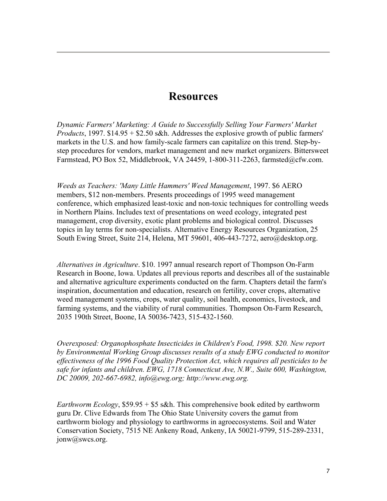#### **Resources**

*Dynamic Farmers' Marketing: A Guide to Successfully Selling Your Farmers' Market Products*, 1997. \$14.95 + \$2.50 s&h. Addresses the explosive growth of public farmers' markets in the U.S. and how family-scale farmers can capitalize on this trend. Step-bystep procedures for vendors, market management and new market organizers. Bittersweet Farmstead, PO Box 52, Middlebrook, VA 24459, 1-800-311-2263, farmsted $@c$ fw.com.

*Weeds as Teachers: 'Many Little Hammers' Weed Management*, 1997. \$6 AERO members, \$12 non-members. Presents proceedings of 1995 weed management conference, which emphasized least-toxic and non-toxic techniques for controlling weeds in Northern Plains. Includes text of presentations on weed ecology, integrated pest management, crop diversity, exotic plant problems and biological control. Discusses topics in lay terms for non-specialists. Alternative Energy Resources Organization, 25 South Ewing Street, Suite 214, Helena, MT 59601, 406-443-7272, aero@desktop.org.

*Alternatives in Agriculture*. \$10. 1997 annual research report of Thompson On-Farm Research in Boone, Iowa. Updates all previous reports and describes all of the sustainable and alternative agriculture experiments conducted on the farm. Chapters detail the farm's inspiration, documentation and education, research on fertility, cover crops, alternative weed management systems, crops, water quality, soil health, economics, livestock, and farming systems, and the viability of rural communities. Thompson On-Farm Research, 2035 190th Street, Boone, IA 50036-7423, 515-432-1560.

*Overexposed: Organophosphate Insecticides in Children's Food, 1998. \$20. New report by Environmental Working Group discusses results of a study EWG conducted to monitor effectiveness of the 1996 Food Quality Protection Act, which requires all pesticides to be safe for infants and children. EWG, 1718 Connecticut Ave, N.W., Suite 600, Washington, DC 20009, 202-667-6982, info@ewg.org; http://www.ewg.org.*

*Earthworm Ecology*, \$59.95 + \$5 s&h. This comprehensive book edited by earthworm guru Dr. Clive Edwards from The Ohio State University covers the gamut from earthworm biology and physiology to earthworms in agroecosystems. Soil and Water Conservation Society, 7515 NE Ankeny Road, Ankeny, IA 50021-9799, 515-289-2331, jonw@swcs.org.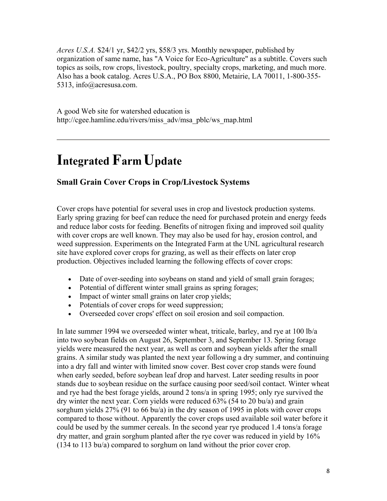*Acres U.S.A.* \$24/1 yr, \$42/2 yrs, \$58/3 yrs. Monthly newspaper, published by organization of same name, has "A Voice for Eco-Agriculture" as a subtitle. Covers such topics as soils, row crops, livestock, poultry, specialty crops, marketing, and much more. Also has a book catalog. Acres U.S.A., PO Box 8800, Metairie, LA 70011, 1-800-355- 5313, info@acresusa.com.

A good Web site for watershed education is http://cgee.hamline.edu/rivers/miss\_adv/msa\_pblc/ws\_map.html

## **Integrated Farm Update**

#### **Small Grain Cover Crops in Crop/Livestock Systems**

Cover crops have potential for several uses in crop and livestock production systems. Early spring grazing for beef can reduce the need for purchased protein and energy feeds and reduce labor costs for feeding. Benefits of nitrogen fixing and improved soil quality with cover crops are well known. They may also be used for hay, erosion control, and weed suppression. Experiments on the Integrated Farm at the UNL agricultural research site have explored cover crops for grazing, as well as their effects on later crop production. Objectives included learning the following effects of cover crops:

- Date of over-seeding into soybeans on stand and yield of small grain forages;
- Potential of different winter small grains as spring forages;
- Impact of winter small grains on later crop yields;
- Potentials of cover crops for weed suppression;
- Overseeded cover crops' effect on soil erosion and soil compaction.

In late summer 1994 we overseeded winter wheat, triticale, barley, and rye at 100 lb/a into two soybean fields on August 26, September 3, and September 13. Spring forage yields were measured the next year, as well as corn and soybean yields after the small grains. A similar study was planted the next year following a dry summer, and continuing into a dry fall and winter with limited snow cover. Best cover crop stands were found when early seeded, before soybean leaf drop and harvest. Later seeding results in poor stands due to soybean residue on the surface causing poor seed/soil contact. Winter wheat and rye had the best forage yields, around 2 tons/a in spring 1995; only rye survived the dry winter the next year. Corn yields were reduced 63% (54 to 20 bu/a) and grain sorghum yields 27% (91 to 66 bu/a) in the dry season of 1995 in plots with cover crops compared to those without. Apparently the cover crops used available soil water before it could be used by the summer cereals. In the second year rye produced 1.4 tons/a forage dry matter, and grain sorghum planted after the rye cover was reduced in yield by 16% (134 to 113 bu/a) compared to sorghum on land without the prior cover crop.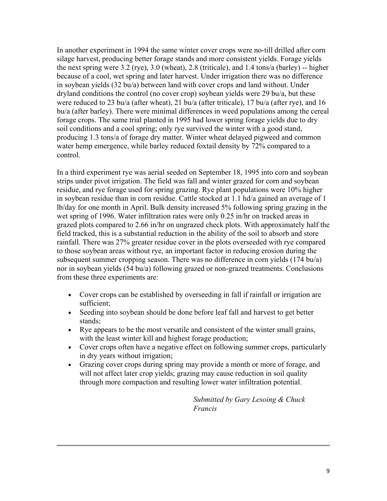In another experiment in 1994 the same winter cover crops were no-till drilled after corn silage harvest, producing better forage stands and more consistent yields. Forage yields the next spring were 3.2 (rye), 3.0 (wheat), 2.8 (triticale), and 1.4 tons/a (barley) -- higher because of a cool, wet spring and later harvest. Under irrigation there was no difference in soybean yields (32 bu/a) between land with cover crops and land without. Under dryland conditions the control (no cover crop) soybean yields were 29 bu/a, but these were reduced to 23 bu/a (after wheat), 21 bu/a (after triticale), 17 bu/a (after rye), and 16 bu/a (after barley). There were minimal differences in weed populations among the cereal forage crops. The same trial planted in 1995 had lower spring forage yields due to dry soil conditions and a cool spring; only rye survived the winter with a good stand, producing 1.3 tons/a of forage dry matter. Winter wheat delayed pigweed and common water hemp emergence, while barley reduced foxtail density by 72% compared to a control.

In a third experiment rye was aerial seeded on September 18, 1995 into corn and soybean strips under pivot irrigation. The field was fall and winter grazed for corn and soybean residue, and rye forage used for spring grazing. Rye plant populations were 10% higher in soybean residue than in corn residue. Cattle stocked at 1.1 hd/a gained an average of 1 lb/day for one month in April. Bulk density increased 5% following spring grazing in the wet spring of 1996. Water infiltration rates were only 0.25 in/hr on tracked areas in grazed plots compared to 2.66 in/hr on ungrazed check plots. With approximately half the field tracked, this is a substantial reduction in the ability of the soil to absorb and store rainfall. There was 27% greater residue cover in the plots overseeded with rye compared to those soybean areas without rye, an important factor in reducing erosion during the subsequent summer cropping season. There was no difference in corn yields (174 bu/a) nor in soybean yields (54 bu/a) following grazed or non-grazed treatments. Conclusions from these three experiments are:

- Cover crops can be established by overseeding in fall if rainfall or irrigation are sufficient;
- Seeding into soybean should be done before leaf fall and harvest to get better stands;
- Rye appears to be the most versatile and consistent of the winter small grains, with the least winter kill and highest forage production;
- Cover crops often have a negative effect on following summer crops, particularly in dry years without irrigation;
- Grazing cover crops during spring may provide a month or more of forage, and will not affect later crop yields; grazing may cause reduction in soil quality through more compaction and resulting lower water infiltration potential.

*Submitted by Gary Lesoing & Chuck Francis*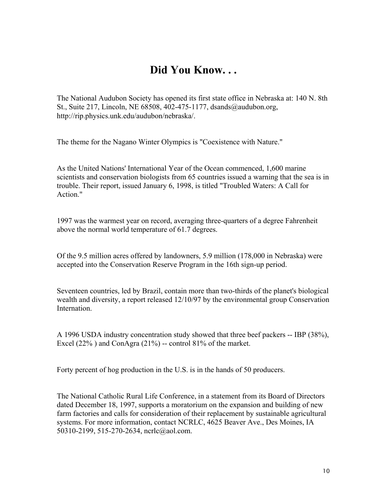### **Did You Know. . .**

The National Audubon Society has opened its first state office in Nebraska at: 140 N. 8th St., Suite 217, Lincoln, NE 68508, 402-475-1177, dsands@audubon.org, http://rip.physics.unk.edu/audubon/nebraska/.

The theme for the Nagano Winter Olympics is "Coexistence with Nature."

As the United Nations' International Year of the Ocean commenced, 1,600 marine scientists and conservation biologists from 65 countries issued a warning that the sea is in trouble. Their report, issued January 6, 1998, is titled "Troubled Waters: A Call for Action."

1997 was the warmest year on record, averaging three-quarters of a degree Fahrenheit above the normal world temperature of 61.7 degrees.

Of the 9.5 million acres offered by landowners, 5.9 million (178,000 in Nebraska) were accepted into the Conservation Reserve Program in the 16th sign-up period.

Seventeen countries, led by Brazil, contain more than two-thirds of the planet's biological wealth and diversity, a report released 12/10/97 by the environmental group Conservation **Internation** 

A 1996 USDA industry concentration study showed that three beef packers -- IBP (38%), Excel  $(22\%)$  and ConAgra  $(21\%)$  -- control 81% of the market.

Forty percent of hog production in the U.S. is in the hands of 50 producers.

The National Catholic Rural Life Conference, in a statement from its Board of Directors dated December 18, 1997, supports a moratorium on the expansion and building of new farm factories and calls for consideration of their replacement by sustainable agricultural systems. For more information, contact NCRLC, 4625 Beaver Ave., Des Moines, IA 50310-2199, 515-270-2634, ncrlc@aol.com.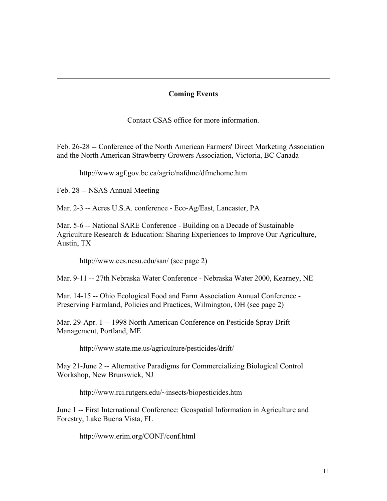#### **Coming Events**

Contact CSAS office for more information.

Feb. 26-28 -- Conference of the North American Farmers' Direct Marketing Association and the North American Strawberry Growers Association, Victoria, BC Canada

http://www.agf.gov.bc.ca/agric/nafdmc/dfmchome.htm

Feb. 28 -- NSAS Annual Meeting

Mar. 2-3 -- Acres U.S.A. conference - Eco-Ag/East, Lancaster, PA

Mar. 5-6 -- National SARE Conference - Building on a Decade of Sustainable Agriculture Research & Education: Sharing Experiences to Improve Our Agriculture, Austin, TX

http://www.ces.ncsu.edu/san/ (see page 2)

Mar. 9-11 -- 27th Nebraska Water Conference - Nebraska Water 2000, Kearney, NE

Mar. 14-15 -- Ohio Ecological Food and Farm Association Annual Conference - Preserving Farmland, Policies and Practices, Wilmington, OH (see page 2)

Mar. 29-Apr. 1 -- 1998 North American Conference on Pesticide Spray Drift Management, Portland, ME

http://www.state.me.us/agriculture/pesticides/drift/

May 21-June 2 -- Alternative Paradigms for Commercializing Biological Control Workshop, New Brunswick, NJ

http://www.rci.rutgers.edu/~insects/biopesticides.htm

June 1 -- First International Conference: Geospatial Information in Agriculture and Forestry, Lake Buena Vista, FL

http://www.erim.org/CONF/conf.html